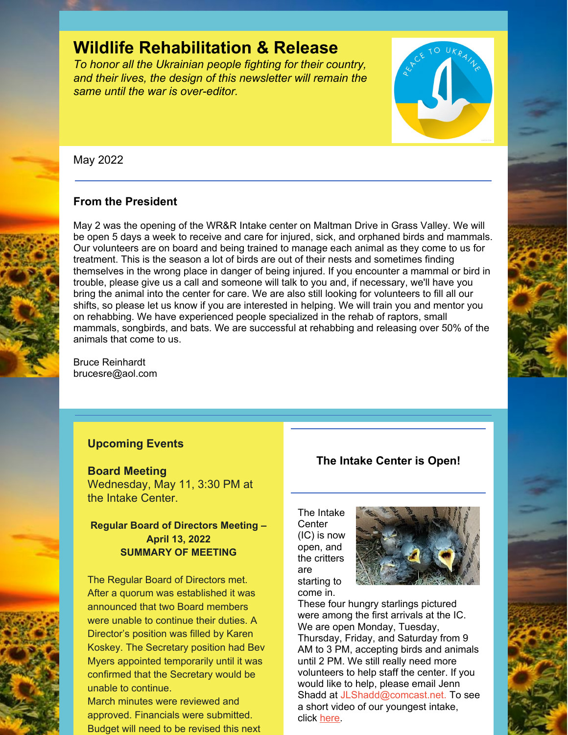# **Wildlife Rehabilitation & Release**

*To honor all the Ukrainian people fighting for their country, and their lives, the design of this newsletter will remain the same until the war is over-editor.*



May 2022

# **From the President**

May 2 was the opening of the WR&R Intake center on Maltman Drive in Grass Valley. We will be open 5 days a week to receive and care for injured, sick, and orphaned birds and mammals. Our volunteers are on board and being trained to manage each animal as they come to us for treatment. This is the season a lot of birds are out of their nests and sometimes finding themselves in the wrong place in danger of being injured. If you encounter a mammal or bird in trouble, please give us a call and someone will talk to you and, if necessary, we'll have you bring the animal into the center for care. We are also still looking for volunteers to fill all our shifts, so please let us know if you are interested in helping. We will train you and mentor you on rehabbing. We have experienced people specialized in the rehab of raptors, small mammals, songbirds, and bats. We are successful at rehabbing and releasing over 50% of the animals that come to us.

Bruce Reinhardt brucesre@aol.com

# **Upcoming Events**

### **Board Meeting**

Wednesday, May 11, 3:30 PM at the Intake Center.

# **Regular Board of Directors Meeting – April 13, 2022 SUMMARY OF MEETING**

The Regular Board of Directors met. After a quorum was established it was announced that two Board members were unable to continue their duties. A Director's position was filled by Karen Koskey. The Secretary position had Bev Myers appointed temporarily until it was confirmed that the Secretary would be unable to continue.

March minutes were reviewed and approved. Financials were submitted. Budget will need to be revised this next

# **The Intake Center is Open!**

The Intake **Center** (IC) is now open, and the critters are starting to come in.



These four hungry starlings pictured were among the first arrivals at the IC. We are open Monday, Tuesday, Thursday, Friday, and Saturday from 9 AM to 3 PM, accepting birds and animals until 2 PM. We still really need more volunteers to help staff the center. If you would like to help, please email Jenn Shadd at [JLShadd@comcast.net](mailto:JLShadd@comcast.net). To see a short video of our youngest intake, click [here](https://www.youtube.com/shorts/IvPPYkFUgmE).





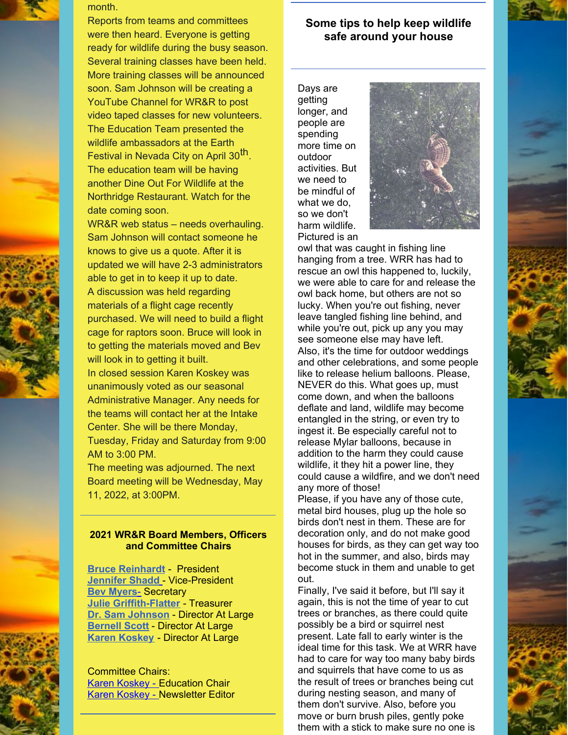



month.

Reports from teams and committees were then heard. Everyone is getting ready for wildlife during the busy season. Several training classes have been held. More training classes will be announced soon. Sam Johnson will be creating a YouTube Channel for WR&R to post video taped classes for new volunteers. The Education Team presented the wildlife ambassadors at the Earth Festival in Nevada City on April 30<sup>th</sup>. The education team will be having another Dine Out For Wildlife at the Northridge Restaurant. Watch for the date coming soon.

WR&R web status – needs overhauling. Sam Johnson will contact someone he knows to give us a quote. After it is updated we will have 2-3 administrators able to get in to keep it up to date. A discussion was held regarding materials of a flight cage recently purchased. We will need to build a flight cage for raptors soon. Bruce will look in to getting the materials moved and Bev will look in to getting it built.

In closed session Karen Koskey was unanimously voted as our seasonal Administrative Manager. Any needs for the teams will contact her at the Intake Center. She will be there Monday, Tuesday, Friday and Saturday from 9:00 AM to 3:00 PM.

The meeting was adjourned. The next Board meeting will be Wednesday, May 11, 2022, at 3:00PM.

### **2021 WR&R Board Members, Officers and Committee Chairs**

**Bruce [Reinhardt](mailto:brucesre@aol.com)** - President **[Jennifer](mailto:JLShadd@comcast.net) Shad[d](mailto:tomatowazoo@yahoo.com)** - Vice-President **Bev Myers**[-](mailto:mlypeterson@comcast.net) Secretary **Julie [Griffith-Flatter](mailto:jlgriff@att.net)** - Treasurer **Dr. Sam Johnson** - Director At Large **[Bernell](mailto:bsscott1@comcast.net) Scott** - Director At Large **Karen [Koskey](mailto:kkosk6565@gmail.com)** - Director At Large

Committee Chairs: Karen [Koskey](mailto:kkosk6565@gmail.com) - Education Chair Karen [Koskey](mailto:kkosk6565@gmail.com) - Newsletter Editor

# **Some tips to help keep wildlife safe around your house**

Days are getting longer, and people are spending more time on outdoor activities. But we need to be mindful of what we do, so we don't harm wildlife. Pictured is an



owl that was caught in fishing line hanging from a tree. WRR has had to rescue an owl this happened to, luckily, we were able to care for and release the owl back home, but others are not so lucky. When you're out fishing, never leave tangled fishing line behind, and while you're out, pick up any you may see someone else may have left. Also, it's the time for outdoor weddings and other celebrations, and some people like to release helium balloons. Please, NEVER do this. What goes up, must come down, and when the balloons deflate and land, wildlife may become entangled in the string, or even try to ingest it. Be especially careful not to release Mylar balloons, because in addition to the harm they could cause wildlife, it they hit a power line, they could cause a wildfire, and we don't need any more of those!

Please, if you have any of those cute, metal bird houses, plug up the hole so birds don't nest in them. These are for decoration only, and do not make good houses for birds, as they can get way too hot in the summer, and also, birds may become stuck in them and unable to get out.

Finally, I've said it before, but I'll say it again, this is not the time of year to cut trees or branches, as there could quite possibly be a bird or squirrel nest present. Late fall to early winter is the ideal time for this task. We at WRR have had to care for way too many baby birds and squirrels that have come to us as the result of trees or branches being cut during nesting season, and many of them don't survive. Also, before you move or burn brush piles, gently poke them with a stick to make sure no one is